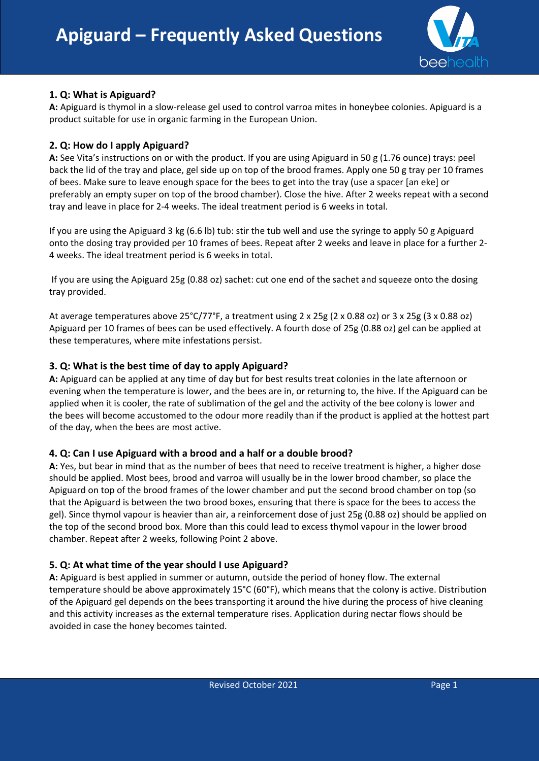

## **1. Q: What is Apiguard?**

**A:** Apiguard is thymol in a slow-release gel used to control varroa mites in honeybee colonies. Apiguard is a product suitable for use in organic farming in the European Union.

### **2. Q: How do I apply Apiguard?**

**A:** See Vita's instructions on or with the product. If you are using Apiguard in 50 g (1.76 ounce) trays: peel back the lid of the tray and place, gel side up on top of the brood frames. Apply one 50 g tray per 10 frames of bees. Make sure to leave enough space for the bees to get into the tray (use a spacer [an eke] or preferably an empty super on top of the brood chamber). Close the hive. After 2 weeks repeat with a second tray and leave in place for 2-4 weeks. The ideal treatment period is 6 weeks in total.

If you are using the Apiguard 3 kg (6.6 lb) tub: stir the tub well and use the syringe to apply 50 g Apiguard onto the dosing tray provided per 10 frames of bees. Repeat after 2 weeks and leave in place for a further 2- 4 weeks. The ideal treatment period is 6 weeks in total.

If you are using the Apiguard 25g (0.88 oz) sachet: cut one end of the sachet and squeeze onto the dosing tray provided.

At average temperatures above 25°C/77°F, a treatment using 2 x 25g (2 x 0.88 oz) or 3 x 25g (3 x 0.88 oz) Apiguard per 10 frames of bees can be used effectively. A fourth dose of 25g (0.88 oz) gel can be applied at these temperatures, where mite infestations persist.

### **3. Q: What is the best time of day to apply Apiguard?**

**A:** Apiguard can be applied at any time of day but for best results treat colonies in the late afternoon or evening when the temperature is lower, and the bees are in, or returning to, the hive. If the Apiguard can be applied when it is cooler, the rate of sublimation of the gel and the activity of the bee colony is lower and the bees will become accustomed to the odour more readily than if the product is applied at the hottest part of the day, when the bees are most active.

### **4. Q: Can I use Apiguard with a brood and a half or a double brood?**

**A:** Yes, but bear in mind that as the number of bees that need to receive treatment is higher, a higher dose should be applied. Most bees, brood and varroa will usually be in the lower brood chamber, so place the Apiguard on top of the brood frames of the lower chamber and put the second brood chamber on top (so that the Apiguard is between the two brood boxes, ensuring that there is space for the bees to access the gel). Since thymol vapour is heavier than air, a reinforcement dose of just 25g (0.88 oz) should be applied on the top of the second brood box. More than this could lead to excess thymol vapour in the lower brood chamber. Repeat after 2 weeks, following Point 2 above.

### **5. Q: At what time of the year should I use Apiguard?**

**A:** Apiguard is best applied in summer or autumn, outside the period of honey flow. The external temperature should be above approximately 15°C (60°F), which means that the colony is active. Distribution of the Apiguard gel depends on the bees transporting it around the hive during the process of hive cleaning and this activity increases as the external temperature rises. Application during nectar flows should be avoided in case the honey becomes tainted.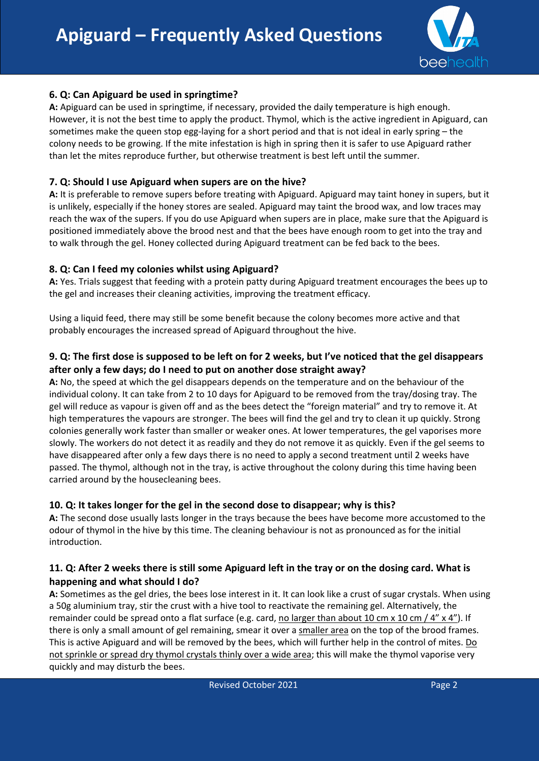

## **6. Q: Can Apiguard be used in springtime?**

**A:** Apiguard can be used in springtime, if necessary, provided the daily temperature is high enough. However, it is not the best time to apply the product. Thymol, which is the active ingredient in Apiguard, can sometimes make the queen stop egg-laying for a short period and that is not ideal in early spring – the colony needs to be growing. If the mite infestation is high in spring then it is safer to use Apiguard rather than let the mites reproduce further, but otherwise treatment is best left until the summer.

### **7. Q: Should I use Apiguard when supers are on the hive?**

**A:** It is preferable to remove supers before treating with Apiguard. Apiguard may taint honey in supers, but it is unlikely, especially if the honey stores are sealed. Apiguard may taint the brood wax, and low traces may reach the wax of the supers. If you do use Apiguard when supers are in place, make sure that the Apiguard is positioned immediately above the brood nest and that the bees have enough room to get into the tray and to walk through the gel. Honey collected during Apiguard treatment can be fed back to the bees.

### **8. Q: Can I feed my colonies whilst using Apiguard?**

**A:** Yes. Trials suggest that feeding with a protein patty during Apiguard treatment encourages the bees up to the gel and increases their cleaning activities, improving the treatment efficacy.

Using a liquid feed, there may still be some benefit because the colony becomes more active and that probably encourages the increased spread of Apiguard throughout the hive.

## **9. Q: The first dose is supposed to be left on for 2 weeks, but I've noticed that the gel disappears after only a few days; do I need to put on another dose straight away?**

**A:** No, the speed at which the gel disappears depends on the temperature and on the behaviour of the individual colony. It can take from 2 to 10 days for Apiguard to be removed from the tray/dosing tray. The gel will reduce as vapour is given off and as the bees detect the "foreign material" and try to remove it. At high temperatures the vapours are stronger. The bees will find the gel and try to clean it up quickly. Strong colonies generally work faster than smaller or weaker ones. At lower temperatures, the gel vaporises more slowly. The workers do not detect it as readily and they do not remove it as quickly. Even if the gel seems to have disappeared after only a few days there is no need to apply a second treatment until 2 weeks have passed. The thymol, although not in the tray, is active throughout the colony during this time having been carried around by the housecleaning bees.

### **10. Q: It takes longer for the gel in the second dose to disappear; why is this?**

**A:** The second dose usually lasts longer in the trays because the bees have become more accustomed to the odour of thymol in the hive by this time. The cleaning behaviour is not as pronounced as for the initial introduction.

# **11. Q: After 2 weeks there is still some Apiguard left in the tray or on the dosing card. What is happening and what should I do?**

**A:** Sometimes as the gel dries, the bees lose interest in it. It can look like a crust of sugar crystals. When using a 50g aluminium tray, stir the crust with a hive tool to reactivate the remaining gel. Alternatively, the remainder could be spread onto a flat surface (e.g. card, no larger than about 10 cm  $\times$  10 cm  $/$  4"  $\times$  4"). If there is only a small amount of gel remaining, smear it over a smaller area on the top of the brood frames. This is active Apiguard and will be removed by the bees, which will further help in the control of mites. Do not sprinkle or spread dry thymol crystals thinly over a wide area; this will make the thymol vaporise very quickly and may disturb the bees.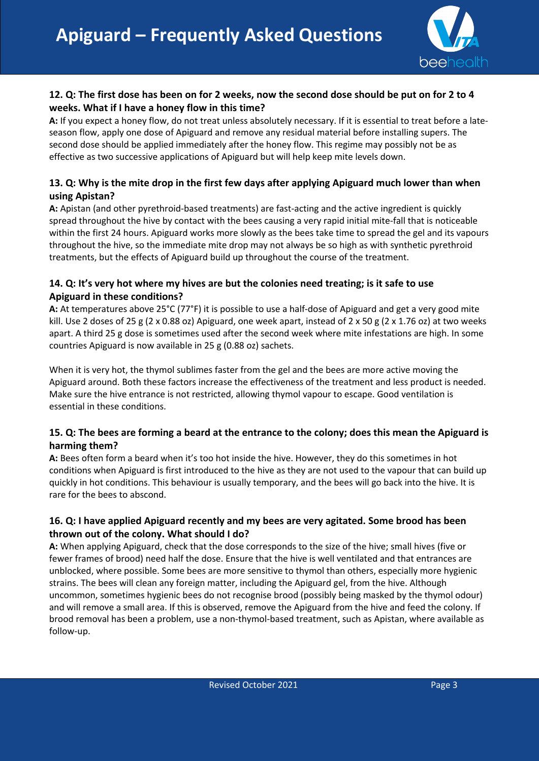

# **12. Q: The first dose has been on for 2 weeks, now the second dose should be put on for 2 to 4 weeks. What if I have a honey flow in this time?**

**A:** If you expect a honey flow, do not treat unless absolutely necessary. If it is essential to treat before a lateseason flow, apply one dose of Apiguard and remove any residual material before installing supers. The second dose should be applied immediately after the honey flow. This regime may possibly not be as effective as two successive applications of Apiguard but will help keep mite levels down.

# **13. Q: Why is the mite drop in the first few days after applying Apiguard much lower than when using Apistan?**

**A:** Apistan (and other pyrethroid-based treatments) are fast-acting and the active ingredient is quickly spread throughout the hive by contact with the bees causing a very rapid initial mite-fall that is noticeable within the first 24 hours. Apiguard works more slowly as the bees take time to spread the gel and its vapours throughout the hive, so the immediate mite drop may not always be so high as with synthetic pyrethroid treatments, but the effects of Apiguard build up throughout the course of the treatment.

# **14. Q: It's very hot where my hives are but the colonies need treating; is it safe to use Apiguard in these conditions?**

**A:** At temperatures above 25°C (77°F) it is possible to use a half-dose of Apiguard and get a very good mite kill. Use 2 doses of 25 g (2 x 0.88 oz) Apiguard, one week apart, instead of 2 x 50 g (2 x 1.76 oz) at two weeks apart. A third 25 g dose is sometimes used after the second week where mite infestations are high. In some countries Apiguard is now available in 25 g (0.88 oz) sachets.

When it is very hot, the thymol sublimes faster from the gel and the bees are more active moving the Apiguard around. Both these factors increase the effectiveness of the treatment and less product is needed. Make sure the hive entrance is not restricted, allowing thymol vapour to escape. Good ventilation is essential in these conditions.

# **15. Q: The bees are forming a beard at the entrance to the colony; does this mean the Apiguard is harming them?**

**A:** Bees often form a beard when it's too hot inside the hive. However, they do this sometimes in hot conditions when Apiguard is first introduced to the hive as they are not used to the vapour that can build up quickly in hot conditions. This behaviour is usually temporary, and the bees will go back into the hive. It is rare for the bees to abscond.

# **16. Q: I have applied Apiguard recently and my bees are very agitated. Some brood has been thrown out of the colony. What should I do?**

**A:** When applying Apiguard, check that the dose corresponds to the size of the hive; small hives (five or fewer frames of brood) need half the dose. Ensure that the hive is well ventilated and that entrances are unblocked, where possible. Some bees are more sensitive to thymol than others, especially more hygienic strains. The bees will clean any foreign matter, including the Apiguard gel, from the hive. Although uncommon, sometimes hygienic bees do not recognise brood (possibly being masked by the thymol odour) and will remove a small area. If this is observed, remove the Apiguard from the hive and feed the colony. If brood removal has been a problem, use a non-thymol-based treatment, such as Apistan, where available as follow-up.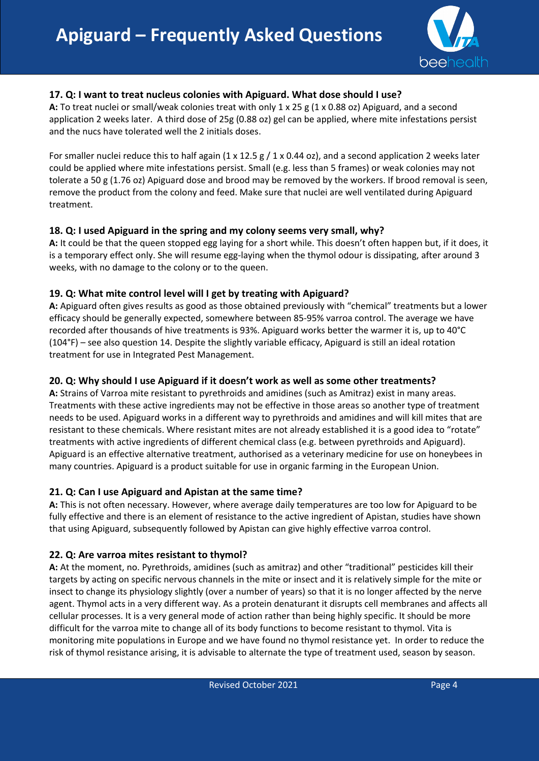

## **17. Q: I want to treat nucleus colonies with Apiguard. What dose should I use?**

**A:** To treat nuclei or small/weak colonies treat with only 1 x 25 g (1 x 0.88 oz) Apiguard, and a second application 2 weeks later. A third dose of 25g (0.88 oz) gel can be applied, where mite infestations persist and the nucs have tolerated well the 2 initials doses.

For smaller nuclei reduce this to half again (1 x 12.5 g  $/$  1 x 0.44 oz), and a second application 2 weeks later could be applied where mite infestations persist. Small (e.g. less than 5 frames) or weak colonies may not tolerate a 50 g (1.76 oz) Apiguard dose and brood may be removed by the workers. If brood removal is seen, remove the product from the colony and feed. Make sure that nuclei are well ventilated during Apiguard treatment.

### **18. Q: I used Apiguard in the spring and my colony seems very small, why?**

**A:** It could be that the queen stopped egg laying for a short while. This doesn't often happen but, if it does, it is a temporary effect only. She will resume egg-laying when the thymol odour is dissipating, after around 3 weeks, with no damage to the colony or to the queen.

### **19. Q: What mite control level will I get by treating with Apiguard?**

**A:** Apiguard often gives results as good as those obtained previously with "chemical" treatments but a lower efficacy should be generally expected, somewhere between 85-95% varroa control. The average we have recorded after thousands of hive treatments is 93%. Apiguard works better the warmer it is, up to 40°C (104°F) – see also question 14. Despite the slightly variable efficacy, Apiguard is still an ideal rotation treatment for use in Integrated Pest Management.

### **20. Q: Why should I use Apiguard if it doesn't work as well as some other treatments?**

**A:** Strains of Varroa mite resistant to pyrethroids and amidines (such as Amitraz) exist in many areas. Treatments with these active ingredients may not be effective in those areas so another type of treatment needs to be used. Apiguard works in a different way to pyrethroids and amidines and will kill mites that are resistant to these chemicals. Where resistant mites are not already established it is a good idea to "rotate" treatments with active ingredients of different chemical class (e.g. between pyrethroids and Apiguard). Apiguard is an effective alternative treatment, authorised as a veterinary medicine for use on honeybees in many countries. Apiguard is a product suitable for use in organic farming in the European Union.

### **21. Q: Can I use Apiguard and Apistan at the same time?**

**A:** This is not often necessary. However, where average daily temperatures are too low for Apiguard to be fully effective and there is an element of resistance to the active ingredient of Apistan, studies have shown that using Apiguard, subsequently followed by Apistan can give highly effective varroa control.

### **22. Q: Are varroa mites resistant to thymol?**

**A:** At the moment, no. Pyrethroids, amidines (such as amitraz) and other "traditional" pesticides kill their targets by acting on specific nervous channels in the mite or insect and it is relatively simple for the mite or insect to change its physiology slightly (over a number of years) so that it is no longer affected by the nerve agent. Thymol acts in a very different way. As a protein denaturant it disrupts cell membranes and affects all cellular processes. It is a very general mode of action rather than being highly specific. It should be more difficult for the varroa mite to change all of its body functions to become resistant to thymol. Vita is monitoring mite populations in Europe and we have found no thymol resistance yet. In order to reduce the risk of thymol resistance arising, it is advisable to alternate the type of treatment used, season by season.